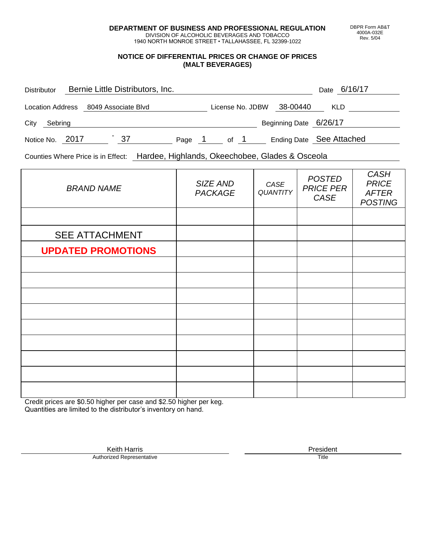**DEPARTMENT OF BUSINESS AND PROFESSIONAL REGULATION** DIVISION OF ALCOHOLIC BEVERAGES AND TOBACCO

1940 NORTH MONROE STREET • TALLAHASSEE, FL 32399-1022

## **NOTICE OF DIFFERENTIAL PRICES OR CHANGE OF PRICES (MALT BEVERAGES)**

| <b>Distributor</b>      | Bernie Little Distributors, Inc. |    |        |                  |                          | Date | 6/16/17 |
|-------------------------|----------------------------------|----|--------|------------------|--------------------------|------|---------|
| <b>Location Address</b> | 8049 Associate Blvd              |    |        | License No. JDBW | 38-00440                 | KLD. |         |
| City<br>Sebring         |                                  |    |        |                  | Beginning Date 6/26/17   |      |         |
| Notice No. 2017         |                                  | 37 | Page 1 | of 1             | Ending Date See Attached |      |         |

Counties Where Price is in Effect: Hardee, Highlands, Okeechobee, Glades & Osceola

| <b>BRAND NAME</b>         | SIZE AND<br><b>PACKAGE</b> | CASE<br>QUANTITY | <b>POSTED</b><br><b>PRICE PER</b><br>CASE | <b>CASH</b><br><b>PRICE</b><br><b>AFTER</b><br><b>POSTING</b> |
|---------------------------|----------------------------|------------------|-------------------------------------------|---------------------------------------------------------------|
|                           |                            |                  |                                           |                                                               |
| <b>SEE ATTACHMENT</b>     |                            |                  |                                           |                                                               |
| <b>UPDATED PROMOTIONS</b> |                            |                  |                                           |                                                               |
|                           |                            |                  |                                           |                                                               |
|                           |                            |                  |                                           |                                                               |
|                           |                            |                  |                                           |                                                               |
|                           |                            |                  |                                           |                                                               |
|                           |                            |                  |                                           |                                                               |
|                           |                            |                  |                                           |                                                               |
|                           |                            |                  |                                           |                                                               |
|                           |                            |                  |                                           |                                                               |
|                           |                            |                  |                                           |                                                               |

Credit prices are \$0.50 higher per case and \$2.50 higher per keg. Quantities are limited to the distributor's inventory on hand.

> Keith Harris **President**<br> **President**<br>
> Prized Representative **President Authorized Representative**

DBPR Form AB&T 4000A-032E Rev. 5/04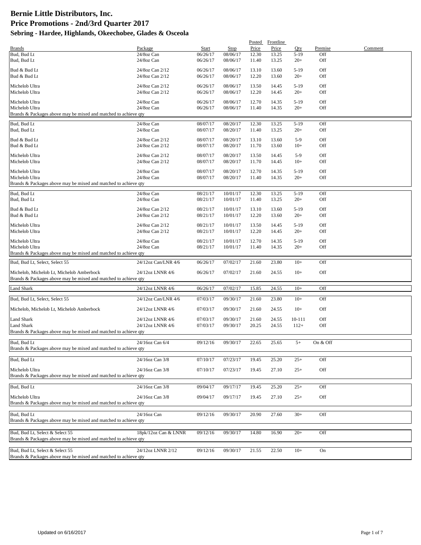|                                                                 |                                    |                      |                      | Posted         | Frontline      |                 |            |         |
|-----------------------------------------------------------------|------------------------------------|----------------------|----------------------|----------------|----------------|-----------------|------------|---------|
| <b>Brands</b>                                                   | Package                            | Start                | Stop                 | Price          | Price          | Qty             | Premise    | Comment |
| Bud, Bud Lt                                                     | 24/8oz Can                         | 06/26/17             | 08/06/17             | 12.30          | 13.25          | $5-19$          | Off        |         |
| Bud, Bud Lt                                                     | 24/8oz Can                         | 06/26/17             | 08/06/17             | 11.40          | 13.25          | $20+$           | Off        |         |
| Bud & Bud Lt                                                    | 24/8oz Can 2/12                    | 06/26/17             | 08/06/17             | 13.10          | 13.60          | $5-19$          | Off        |         |
| Bud & Bud Lt                                                    | 24/8oz Can 2/12                    | 06/26/17             | 08/06/17             | 12.20          | 13.60          | $20+$           | Off        |         |
|                                                                 |                                    |                      |                      |                |                |                 |            |         |
| Michelob Ultra                                                  | 24/8oz Can 2/12                    | 06/26/17             | 08/06/17             | 13.50          | 14.45          | $5-19$          | Off        |         |
| Michelob Ultra                                                  | 24/8oz Can 2/12                    | 06/26/17             | 08/06/17             | 12.20          | 14.45          | $20+$           | Off        |         |
| Michelob Ultra                                                  | 24/8oz Can                         | 06/26/17             | 08/06/17             | 12.70          | 14.35          | $5-19$          | Off        |         |
| Michelob Ultra                                                  | 24/8oz Can                         | 06/26/17             | 08/06/17             | 11.40          | 14.35          | $20+$           | Off        |         |
| Brands & Packages above may be mixed and matched to achieve qty |                                    |                      |                      |                |                |                 |            |         |
| Bud, Bud Lt                                                     | 24/8oz Can                         | 08/07/17             | 08/20/17             | 12.30          | 13.25          | $5-19$          | Off        |         |
| Bud, Bud Lt                                                     | 24/8oz Can                         | 08/07/17             | 08/20/17             | 11.40          | 13.25          | $20+$           | Off        |         |
|                                                                 |                                    |                      |                      |                |                |                 |            |         |
| Bud & Bud Lt                                                    | 24/8oz Can 2/12                    | 08/07/17             | 08/20/17             | 13.10          | 13.60          | $5-9$           | Off        |         |
| Bud & Bud Lt                                                    | 24/8oz Can 2/12                    | 08/07/17             | 08/20/17             | 11.70          | 13.60          | $10+$           | Off        |         |
| Michelob Ultra                                                  | 24/8oz Can 2/12                    | 08/07/17             | 08/20/17             | 13.50          | 14.45          | $5-9$           | Off        |         |
| Michelob Ultra                                                  | 24/8oz Can 2/12                    | 08/07/17             | 08/20/17             | 11.70          | 14.45          | $10+$           | Off        |         |
|                                                                 |                                    |                      |                      |                |                |                 |            |         |
| Michelob Ultra                                                  | 24/8oz Can                         | 08/07/17             | 08/20/17             | 12.70          | 14.35          | $5-19$          | Off        |         |
| Michelob Ultra                                                  | 24/8oz Can                         | 08/07/17             | 08/20/17             | 11.40          | 14.35          | $20+$           | Off        |         |
| Brands & Packages above may be mixed and matched to achieve qty |                                    |                      |                      |                |                |                 |            |         |
| Bud, Bud Lt                                                     | 24/8oz Can                         | 08/21/17             | 10/01/17             | 12.30          | 13.25          | $5-19$          | Off        |         |
| Bud, Bud Lt                                                     | 24/8oz Can                         | 08/21/17             | 10/01/17             | 11.40          | 13.25          | $20+$           | Off        |         |
|                                                                 |                                    |                      |                      |                |                |                 |            |         |
| Bud & Bud Lt<br>Bud & Bud Lt                                    | 24/8oz Can 2/12<br>24/8oz Can 2/12 | 08/21/17<br>08/21/17 | 10/01/17<br>10/01/17 | 13.10<br>12.20 | 13.60<br>13.60 | $5-19$<br>$20+$ | Off<br>Off |         |
|                                                                 |                                    |                      |                      |                |                |                 |            |         |
| Michelob Ultra                                                  | 24/8oz Can 2/12                    | 08/21/17             | 10/01/17             | 13.50          | 14.45          | $5-19$          | Off        |         |
| Michelob Ultra                                                  | 24/8oz Can 2/12                    | 08/21/17             | 10/01/17             | 12.20          | 14.45          | $20+$           | Off        |         |
|                                                                 |                                    |                      |                      |                |                |                 | Off        |         |
| Michelob Ultra<br>Michelob Ultra                                | 24/8oz Can<br>24/8oz Can           | 08/21/17<br>08/21/17 | 10/01/17<br>10/01/17 | 12.70<br>11.40 | 14.35<br>14.35 | $5-19$<br>$20+$ | Off        |         |
| Brands & Packages above may be mixed and matched to achieve qty |                                    |                      |                      |                |                |                 |            |         |
|                                                                 |                                    |                      |                      |                |                |                 |            |         |
| Bud, Bud Lt, Select, Select 55                                  | 24/12oz Can/LNR 4/6                | 06/26/17             | 07/02/17             | 21.60          | 23.80          | $10+$           | Off        |         |
| Michelob, Michelob Lt, Michelob Amberbock                       | 24/12oz LNNR 4/6                   | 06/26/17             | 07/02/17             | 21.60          | 24.55          | $10+$           | Off        |         |
| Brands & Packages above may be mixed and matched to achieve qty |                                    |                      |                      |                |                |                 |            |         |
|                                                                 |                                    |                      |                      |                |                |                 |            |         |
| <b>Land Shark</b>                                               | 24/12oz LNNR 4/6                   | 06/26/17             | 07/02/17             | 15.85          | 24.55          | $10+$           | Off        |         |
| Bud, Bud Lt, Select, Select 55                                  | 24/12oz Can/LNR 4/6                | 07/03/17             | 09/30/17             | 21.60          | 23.80          | $10+$           | Off        |         |
|                                                                 |                                    |                      |                      |                |                |                 |            |         |
| Michelob, Michelob Lt, Michelob Amberbock                       | 24/12oz LNNR 4/6                   | 07/03/17             | 09/30/17             | 21.60          | 24.55          | $10+$           | Off        |         |
|                                                                 |                                    |                      |                      |                |                |                 |            |         |
| <b>Land Shark</b>                                               | 24/12oz LNNR 4/6                   | 07/03/17             | 09/30/17             | 21.60          | 24.55          | 10-111          | Off        |         |
| Land Shark                                                      | 24/12oz LNNR 4/6                   | 07/03/17             | 09/30/17             | 20.25          | 24.55          | $112+$          | Off        |         |
| Brands & Packages above may be mixed and matched to achieve qty |                                    |                      |                      |                |                |                 |            |         |
| Bud, Bud Lt                                                     | 24/16oz Can 6/4                    | 09/12/16             | 09/30/17             | 22.65          | 25.65          | $5+$            | On & Off   |         |
| Brands & Packages above may be mixed and matched to achieve qty |                                    |                      |                      |                |                |                 |            |         |
|                                                                 |                                    |                      |                      |                |                |                 |            |         |
| Bud, Bud Lt                                                     | 24/16oz Can 3/8                    | 07/10/17             | 07/23/17             | 19.45          | 25.20          | $25+$           | Off        |         |
| Michelob Ultra                                                  | 24/16oz Can 3/8                    | 07/10/17             | 07/23/17             | 19.45          | 27.10          | $25+$           | Off        |         |
| Brands & Packages above may be mixed and matched to achieve qty |                                    |                      |                      |                |                |                 |            |         |
|                                                                 |                                    |                      |                      |                |                |                 |            |         |
| Bud, Bud Lt                                                     | 24/16oz Can 3/8                    | 09/04/17             | 09/17/17             | 19.45          | 25.20          | $25+$           | Off        |         |
|                                                                 |                                    |                      |                      |                |                |                 |            |         |
| Michelob Ultra                                                  | 24/16oz Can 3/8                    | 09/04/17             | 09/17/17             | 19.45          | 27.10          | $25+$           | Off        |         |
| Brands & Packages above may be mixed and matched to achieve qty |                                    |                      |                      |                |                |                 |            |         |
| Bud, Bud Lt                                                     | 24/16oz Can                        | 09/12/16             | 09/30/17             | 20.90          | 27.60          | $30+$           | Off        |         |
| Brands & Packages above may be mixed and matched to achieve qty |                                    |                      |                      |                |                |                 |            |         |
|                                                                 |                                    |                      |                      |                |                |                 |            |         |
| Bud, Bud Lt, Select & Select 55                                 | 18pk/12oz Can & LNNR               | 09/12/16             | 09/30/17             | 14.80          | 16.90          | $20+$           | Off        |         |
| Brands & Packages above may be mixed and matched to achieve qty |                                    |                      |                      |                |                |                 |            |         |
|                                                                 |                                    |                      |                      |                |                |                 |            |         |
| Bud, Bud Lt, Select & Select 55                                 | 24/12oz LNNR 2/12                  | 09/12/16             | 09/30/17             | 21.55          | 22.50          | $10+$           | On         |         |
| Brands & Packages above may be mixed and matched to achieve qty |                                    |                      |                      |                |                |                 |            |         |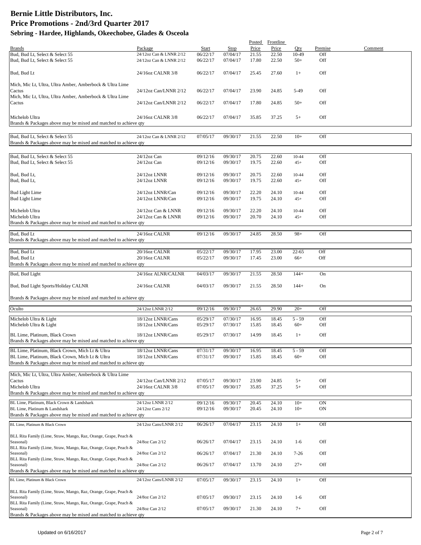|                                                                               |                         |          |          | Posted | Frontline |           |         |         |
|-------------------------------------------------------------------------------|-------------------------|----------|----------|--------|-----------|-----------|---------|---------|
| <b>Brands</b>                                                                 | Package                 | Start    | Stop     | Price  | Price     | Oty       | Premise | Comment |
| Bud, Bud Lt, Select & Select 55                                               | 24/12oz Can & LNNR 2/12 | 06/22/17 | 07/04/17 | 21.55  | 22.50     | 10-49     | Off     |         |
| Bud, Bud Lt, Select & Select 55                                               | 24/12oz Can & LNNR 2/12 | 06/22/17 | 07/04/17 | 17.80  | 22.50     | $50+$     | Off     |         |
|                                                                               | 24/16oz CALNR 3/8       | 06/22/17 | 07/04/17 | 25.45  | 27.60     | $1+$      | Off     |         |
| Bud, Bud Lt                                                                   |                         |          |          |        |           |           |         |         |
| Mich, Mic Lt, Ultra, Ultra Amber, Amberbock & Ultra Lime                      |                         |          |          |        |           |           |         |         |
| Cactus                                                                        | 24/12oz Can/LNNR 2/12   | 06/22/17 | 07/04/17 | 23.90  | 24.85     | 5-49      | Off     |         |
| Mich, Mic Lt, Ultra, Ultra Amber, Amberbock & Ultra Lime                      |                         |          |          |        |           |           |         |         |
| Cactus                                                                        | 24/12oz Can/LNNR 2/12   | 06/22/17 | 07/04/17 | 17.80  | 24.85     | $50+$     | Off     |         |
|                                                                               |                         |          |          |        |           |           |         |         |
| Michelob Ultra                                                                | 24/16oz CALNR 3/8       | 06/22/17 | 07/04/17 | 35.85  | 37.25     | $5+$      | Off     |         |
| Brands & Packages above may be mixed and matched to achieve qty               |                         |          |          |        |           |           |         |         |
|                                                                               |                         |          |          |        |           |           |         |         |
| Bud, Bud Lt, Select & Select 55                                               | 24/12oz Can & LNNR 2/12 | 07/05/17 | 09/30/17 | 21.55  | 22.50     | $10+$     | Off     |         |
| Brands & Packages above may be mixed and matched to achieve qty               |                         |          |          |        |           |           |         |         |
|                                                                               |                         |          |          |        |           |           |         |         |
| Bud, Bud Lt, Select & Select 55                                               | $24/12$ oz Can          | 09/12/16 | 09/30/17 | 20.75  | 22.60     | 10-44     | Off     |         |
| Bud, Bud Lt, Select & Select 55                                               | $24/12$ oz Can          | 09/12/16 | 09/30/17 | 19.75  | 22.60     | $45+$     | Off     |         |
| Bud, Bud Lt,                                                                  | 24/12oz LNNR            | 09/12/16 | 09/30/17 | 20.75  | 22.60     | 10-44     | Off     |         |
| Bud, Bud Lt,                                                                  | 24/12oz LNNR            | 09/12/16 | 09/30/17 | 19.75  | 22.60     | $45+$     | Off     |         |
|                                                                               |                         |          |          |        |           |           |         |         |
| <b>Bud Light Lime</b>                                                         | 24/12oz LNNR/Can        | 09/12/16 | 09/30/17 | 22.20  | 24.10     | 10-44     | Off     |         |
| <b>Bud Light Lime</b>                                                         | 24/12oz LNNR/Can        | 09/12/16 | 09/30/17 | 19.75  | 24.10     | $45+$     | Off     |         |
|                                                                               |                         |          |          |        |           |           |         |         |
| Michelob Ultra                                                                | 24/12oz Can & LNNR      | 09/12/16 | 09/30/17 | 22.20  | 24.10     | 10-44     | Off     |         |
| Michelob Ultra                                                                | 24/12oz Can & LNNR      | 09/12/16 | 09/30/17 | 20.70  | 24.10     | $45+$     | Off     |         |
| Brands & Packages above may be mixed and matched to achieve qty               |                         |          |          |        |           |           |         |         |
| Bud, Bud Lt                                                                   | 24/16oz CALNR           | 09/12/16 | 09/30/17 | 24.85  | 28.50     | $98+$     | Off     |         |
| Brands & Packages above may be mixed and matched to achieve qty               |                         |          |          |        |           |           |         |         |
|                                                                               |                         |          |          |        |           |           |         |         |
| Bud, Bud Lt                                                                   | 20/16oz CALNR           | 05/22/17 | 09/30/17 | 17.95  | 23.00     | $22 - 65$ | Off     |         |
| Bud, Bud Lt                                                                   | 20/16oz CALNR           | 05/22/17 | 09/30/17 | 17.45  | 23.00     | $66+$     | Off     |         |
| Brands & Packages above may be mixed and matched to achieve qty               |                         |          |          |        |           |           |         |         |
| Bud, Bud Light                                                                | 24/16oz ALNR/CALNR      | 04/03/17 | 09/30/17 | 21.55  | 28.50     | $144+$    | On      |         |
|                                                                               |                         |          |          |        |           |           |         |         |
| Bud, Bud Light Sports/Holiday CALNR                                           | 24/16oz CALNR           | 04/03/17 | 09/30/17 | 21.55  | 28.50     | $144+$    | On      |         |
|                                                                               |                         |          |          |        |           |           |         |         |
| Brands & Packages above may be mixed and matched to achieve qty               |                         |          |          |        |           |           |         |         |
| Oculto                                                                        | 24/12oz LNNR 2/12       | 09/12/16 | 09/30/17 | 26.65  | 29.90     | $20+$     | Off     |         |
|                                                                               |                         |          |          |        |           |           |         |         |
| Michelob Ultra & Light                                                        | 18/12oz LNNR/Cans       | 05/29/17 | 07/30/17 | 16.95  | 18.45     | $5 - 59$  | Off     |         |
| Michelob Ultra & Light                                                        | 18/12oz LNNR/Cans       | 05/29/17 | 07/30/17 | 15.85  | 18.45     | $60+$     | Off     |         |
| BL Lime, Platinum, Black Crown                                                | 18/12oz LNNR/Cans       | 05/29/17 | 07/30/17 | 14.99  | 18.45     | $1+$      | Off     |         |
| Brands & Packages above may be mixed and matched to achieve qty               |                         |          |          |        |           |           |         |         |
| BL Lime, Platinum, Black Crown, Mich Lt & Ultra                               | 18/12oz LNNR/Cans       | 07/31/17 | 09/30/17 | 16.95  | 18.45     | $5 - 59$  | Off     |         |
| BL Lime, Platinum, Black Crown, Mich Lt & Ultra                               | 18/12oz LNNR/Cans       | 07/31/17 | 09/30/17 | 15.85  | 18.45     | $60+$     | Off     |         |
| Brands & Packages above may be mixed and matched to achieve qty               |                         |          |          |        |           |           |         |         |
|                                                                               |                         |          |          |        |           |           |         |         |
| Mich, Mic Lt, Ultra, Ultra Amber, Amberbock & Ultra Lime                      |                         |          |          |        |           |           |         |         |
| Cactus                                                                        | 24/12oz Can/LNNR 2/12   | 07/05/17 | 09/30/17 | 23.90  | 24.85     | $5+$      | Off     |         |
| Michelob Ultra                                                                | 24/16oz CALNR 3/8       | 07/05/17 | 09/30/17 | 35.85  | 37.25     | $5+$      | Off     |         |
| Brands & Packages above may be mixed and matched to achieve qty               |                         |          |          |        |           |           |         |         |
| BL Lime, Platinum, Black Crown & Landshark                                    | 24/12oz LNNR 2/12       | 09/12/16 | 09/30/17 | 20.45  | 24.10     | $10+$     | ON      |         |
| BL Lime, Platinum & Landshark                                                 | 24/12oz Cans 2/12       | 09/12/16 | 09/30/17 | 20.45  | 24.10     | $10+$     | ON      |         |
| Brands & Packages above may be mixed and matched to achieve qty               |                         |          |          |        |           |           |         |         |
| BL Lime, Platinum & Black Crown                                               | 24/12oz Cans/LNNR 2/12  | 06/26/17 | 07/04/17 | 23.15  | 24.10     | $1+$      | Off     |         |
|                                                                               |                         |          |          |        |           |           |         |         |
| BLL Rita Family (Lime, Straw, Mango, Raz, Orange, Grape, Peach &              |                         |          |          |        |           |           |         |         |
| Seasonal)                                                                     | 24/8oz Can 2/12         | 06/26/17 | 07/04/17 | 23.15  | 24.10     | $1-6$     | Off     |         |
| BLL Rita Family (Lime, Straw, Mango, Raz, Orange, Grape, Peach &<br>Seasonal) | 24/8oz Can 2/12         | 06/26/17 | 07/04/17 | 21.30  | 24.10     | $7 - 26$  | Off     |         |
| BLL Rita Family (Lime, Straw, Mango, Raz, Orange, Grape, Peach &              |                         |          |          |        |           |           |         |         |
| Seasonal)                                                                     | 24/8oz Can 2/12         | 06/26/17 | 07/04/17 | 13.70  | 24.10     | $27+$     | Off     |         |
| Brands & Packages above may be mixed and matched to achieve qty               |                         |          |          |        |           |           |         |         |
| BL Lime, Platinum & Black Crown                                               | 24/12oz Cans/LNNR 2/12  | 07/05/17 | 09/30/17 | 23.15  | 24.10     | $1+$      | Off     |         |
|                                                                               |                         |          |          |        |           |           |         |         |
| BLL Rita Family (Lime, Straw, Mango, Raz, Orange, Grape, Peach &              |                         |          |          |        |           |           |         |         |
| Seasonal)                                                                     | 24/8oz Can 2/12         | 07/05/17 | 09/30/17 | 23.15  | 24.10     | $1-6$     | Off     |         |
| BLL Rita Family (Lime, Straw, Mango, Raz, Orange, Grape, Peach &              |                         |          |          |        |           |           |         |         |
| Seasonal)                                                                     | 24/8oz Can 2/12         | 07/05/17 | 09/30/17 | 21.30  | 24.10     | $7+$      | Off     |         |
| Brands & Packages above may be mixed and matched to achieve qty               |                         |          |          |        |           |           |         |         |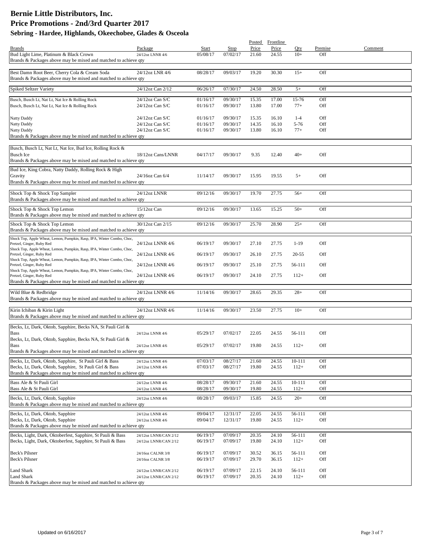|                                                                                                                           |                                                |                      |                      |                | Posted Frontline |                   |            |         |
|---------------------------------------------------------------------------------------------------------------------------|------------------------------------------------|----------------------|----------------------|----------------|------------------|-------------------|------------|---------|
| <b>Brands</b>                                                                                                             | Package                                        | Start                | Stop                 | Price          | Price            | Oty               | Premise    | Comment |
| Bud Light Lime, Platinum & Black Crown<br>Brands & Packages above may be mixed and matched to achieve qty                 | 24/12oz LNNR 4/6                               | 05/08/17             | 07/02/17             | 21.60          | 24.55            | $10+$             | Off        |         |
|                                                                                                                           |                                                |                      |                      |                |                  |                   |            |         |
| Best Damn Root Beer, Cherry Cola & Cream Soda<br>Brands & Packages above may be mixed and matched to achieve qty          | 24/12oz LNR 4/6                                | 08/28/17             | 09/03/17             | 19.20          | 30.30            | $15+$             | Off        |         |
| Spiked Seltzer Variety                                                                                                    | 24/12oz Can 2/12                               | 06/26/17             | 07/30/17             | 24.50          | 28.50            | $5+$              | Off        |         |
| Busch, Busch Lt, Nat Lt, Nat Ice & Rolling Rock                                                                           | 24/12oz Can S/C                                | 01/16/17             | 09/30/17             | 15.35          | 17.00            | 15-76             | Off        |         |
| Busch, Busch Lt, Nat Lt, Nat Ice & Rolling Rock                                                                           | 24/12oz Can S/C                                | 01/16/17             | 09/30/17             | 13.80          | 17.00            | $77+$             | Off        |         |
| Natty Daddy                                                                                                               | $24/12$ oz Can S/C                             | 01/16/17             | 09/30/17             | 15.35          | 16.10            | $1 - 4$           | Off        |         |
| Natty Daddy<br>Natty Daddy                                                                                                | 24/12oz Can S/C<br>24/12oz Can S/C             | 01/16/17<br>01/16/17 | 09/30/17<br>09/30/17 | 14.35<br>13.80 | 16.10<br>16.10   | $5 - 76$<br>$77+$ | Off<br>Off |         |
| Brands & Packages above may be mixed and matched to achieve qty                                                           |                                                |                      |                      |                |                  |                   |            |         |
| Busch, Busch Lt, Nat Lt, Nat Ice, Bud Ice, Rolling Rock &                                                                 |                                                |                      |                      |                |                  |                   |            |         |
| <b>Busch Ice</b>                                                                                                          | 18/12oz Cans/LNNR                              | 04/17/17             | 09/30/17             | 9.35           | 12.40            | $40+$             | Off        |         |
| Brands & Packages above may be mixed and matched to achieve qty                                                           |                                                |                      |                      |                |                  |                   |            |         |
| Bud Ice, King Cobra, Natty Daddy, Rolling Rock & High                                                                     |                                                |                      |                      |                |                  |                   |            |         |
| Gravity                                                                                                                   | 24/16oz Can 6/4                                | 11/14/17             | 09/30/17             | 15.95          | 19.55            | $5+$              | Off        |         |
| Brands & Packages above may be mixed and matched to achieve gty                                                           |                                                |                      |                      |                |                  |                   |            |         |
| Shock Top & Shock Top Sampler                                                                                             | 24/12oz LNNR                                   | 09/12/16             | 09/30/17             | 19.70          | 27.75            | $56+$             | Off        |         |
| Brands & Packages above may be mixed and matched to achieve qty                                                           |                                                |                      |                      |                |                  |                   |            |         |
| Shock Top & Shock Top Lemon<br>Brands & Packages above may be mixed and matched to achieve qty                            | 15/12oz Can                                    | 09/12/16             | 09/30/17             | 13.65          | 15.25            | $50+$             | Off        |         |
| Shock Top & Shock Top Lemon                                                                                               | 30/12oz Can 2/15                               | 09/12/16             | 09/30/17             | 25.70          | 28.90            | $25+$             | Off        |         |
| Brands & Packages above may be mixed and matched to achieve qty                                                           |                                                |                      |                      |                |                  |                   |            |         |
| Shock Top, Apple Wheat, Lemon, Pumpkin, Rasp, IPA, Winter Combo, Choc,<br>Pretzel, Ginger, Ruby Red                       | 24/12oz LNNR 4/6                               | 06/19/17             | 09/30/17             | 27.10          | 27.75            | $1-19$            | Off        |         |
| Shock Top, Apple Wheat, Lemon, Pumpkin, Rasp, IPA, Winter Combo, Choc,<br>Pretzel, Ginger, Ruby Red                       | 24/12oz LNNR 4/6                               | 06/19/17             | 09/30/17             | 26.10          | 27.75            | 20-55             | Off        |         |
| Shock Top, Apple Wheat, Lemon, Pumpkin, Rasp, IPA, Winter Combo, Choc,                                                    |                                                |                      |                      |                |                  |                   |            |         |
| Pretzel, Ginger, Ruby Red<br>Shock Top, Apple Wheat, Lemon, Pumpkin, Rasp, IPA, Winter Combo, Choc,                       | 24/12oz LNNR 4/6                               | 06/19/17             | 09/30/17             | 25.10          | 27.75            | 56-111            | Off        |         |
| Pretzel, Ginger, Ruby Red<br>Brands & Packages above may be mixed and matched to achieve qty                              | 24/12oz LNNR 4/6                               | 06/19/17             | 09/30/17             | 24.10          | 27.75            | $112+$            | Off        |         |
|                                                                                                                           | 24/12oz LNNR 4/6                               | 11/14/16             | 09/30/17             | 28.65          | 29.35            | $28+$             | Off        |         |
| Wild Blue & Redbridge<br>Brands & Packages above may be mixed and matched to achieve qty                                  |                                                |                      |                      |                |                  |                   |            |         |
| Kirin Ichiban & Kirin Light                                                                                               | 24/12oz LNNR 4/6                               | 11/14/16             | 09/30/17             | 23.50          | 27.75            | $10+$             | Off        |         |
| Brands & Packages above may be mixed and matched to achieve qty                                                           |                                                |                      |                      |                |                  |                   |            |         |
| Becks, Lt, Dark, Oktob, Sapphire, Becks NA, St Pauli Girl &                                                               |                                                |                      |                      |                |                  |                   |            |         |
| <b>Bass</b><br>Becks, Lt, Dark, Oktob, Sapphire, Becks NA, St Pauli Girl &                                                | 24/12oz LNNR 4/6                               | 05/29/17             | 07/02/17             | 22.05          | 24.55            | 56-111            | Off        |         |
| <b>Bass</b>                                                                                                               | 24/12oz LNNR 4/6                               | 05/29/17             | 07/02/17             | 19.80          | 24.55            | $112+$            | Off        |         |
| Brands & Packages above may be mixed and matched to achieve qty                                                           |                                                |                      |                      |                |                  |                   |            |         |
| Becks, Lt, Dark, Oktob, Sapphire, St Pauli Girl & Bass                                                                    | 24/12oz LNNR 4/6                               | 07/03/17             | 08/27/17             | 21.60          | 24.55            | $10 - 111$        | Off        |         |
| Becks, Lt, Dark, Oktob, Sapphire, St Pauli Girl & Bass<br>Brands & Packages above may be mixed and matched to achieve qty | 24/12oz LNNR 4/6                               | 07/03/17             | 08/27/17             | 19.80          | 24.55            | $112+$            | Off        |         |
| Bass Ale & St Pauli Girl                                                                                                  | 24/12oz LNNR 4/6                               | 08/28/17             | 09/30/17             | 21.60          | 24.55            | $10 - 111$        | Off        |         |
| Bass Ale & St Pauli Girl                                                                                                  | 24/12oz LNNR 4/6                               | 08/28/17             | 09/30/17             | 19.80          | 24.55            | $112+$            | Off        |         |
| Becks, Lt, Dark, Oktob, Sapphire                                                                                          | 24/12oz LNNR 4/6                               | 08/28/17             | 09/03/17             | 15.85          | 24.55            | $20+$             | Off        |         |
| Brands & Packages above may be mixed and matched to achieve qty                                                           |                                                |                      |                      |                |                  |                   |            |         |
| Becks, Lt, Dark, Oktob, Sapphire                                                                                          | 24/12oz LNNR 4/6                               | 09/04/17             | 12/31/17             | 22.05          | 24.55            | 56-111            | Off        |         |
| Becks, Lt, Dark, Oktob, Sapphire<br>Brands & Packages above may be mixed and matched to achieve qty                       | 24/12oz LNNR 4/6                               | 09/04/17             | 12/31/17             | 19.80          | 24.55            | $112+$            | Off        |         |
|                                                                                                                           |                                                |                      |                      |                |                  |                   |            |         |
| Becks, Light, Dark, Oktoberfest, Sapphire, St Pauli & Bass<br>Becks, Light, Dark, Oktoberfest, Sapphire, St Pauli & Bass  | 24/12oz LNNR/CAN 2/12<br>24/12oz LNNR/CAN 2/12 | 06/19/17<br>06/19/17 | 07/09/17<br>07/09/17 | 20.35<br>19.80 | 24.10<br>24.10   | 56-111<br>$112+$  | Off<br>Off |         |
|                                                                                                                           |                                                |                      |                      |                |                  |                   |            |         |
| <b>Beck's Pilsner</b>                                                                                                     | 24/16oz CALNR 3/8                              | 06/19/17             | 07/09/17             | 30.52          | 36.15            | 56-111            | Off        |         |
| Beck's Pilsner                                                                                                            | 24/16oz CALNR 3/8                              | 06/19/17             | 07/09/17             | 29.70          | 36.15            | $112+$            | Off        |         |
| Land Shark                                                                                                                | 24/12oz LNNR/CAN 2/12                          | 06/19/17             | 07/09/17             | 22.15          | 24.10            | 56-111            | Off        |         |
| Land Shark<br>Brands & Packages above may be mixed and matched to achieve qty                                             | 24/12oz LNNR/CAN 2/12                          | 06/19/17             | 07/09/17             | 20.35          | 24.10            | $112+$            | Off        |         |
|                                                                                                                           |                                                |                      |                      |                |                  |                   |            |         |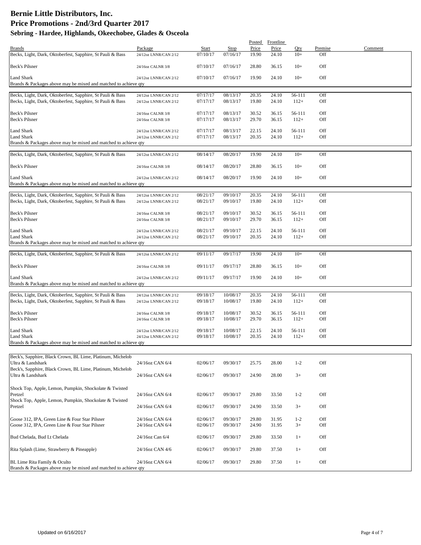|                                                                   |                       |          |                      |                | Posted Frontline |                  |            |         |
|-------------------------------------------------------------------|-----------------------|----------|----------------------|----------------|------------------|------------------|------------|---------|
| <b>Brands</b>                                                     | Package               | Start    | Stop                 | Price          | Price            | Qty              | Premise    | Comment |
| Becks, Light, Dark, Oktoberfest, Sapphire, St Pauli & Bass        | 24/12oz LNNR/CAN 2/12 | 07/10/17 | 07/16/17             | 19.90          | 24.10            | $10+$            | Off        |         |
| Beck's Pilsner                                                    | 24/16oz CALNR 3/8     | 07/10/17 | 07/16/17             | 28.80          | 36.15            | $10+$            | Off        |         |
| <b>Land Shark</b>                                                 |                       | 07/10/17 | 07/16/17             | 19.90          |                  |                  | Off        |         |
| Brands & Packages above may be mixed and matched to achieve qty   | 24/12oz LNNR/CAN 2/12 |          |                      |                | 24.10            | $10+$            |            |         |
|                                                                   |                       |          |                      |                |                  |                  |            |         |
| Becks, Light, Dark, Oktoberfest, Sapphire, St Pauli & Bass        | 24/12oz LNNR/CAN 2/12 | 07/17/17 | 08/13/17             | 20.35          | 24.10            | 56-111           | Off        |         |
| Becks, Light, Dark, Oktoberfest, Sapphire, St Pauli & Bass        | 24/12oz LNNR/CAN 2/12 | 07/17/17 | 08/13/17             | 19.80          | 24.10            | $112+$           | Off        |         |
|                                                                   |                       |          |                      |                |                  |                  |            |         |
| Beck's Pilsner                                                    | 24/16oz CALNR 3/8     | 07/17/17 | 08/13/17             | 30.52          | 36.15            | 56-111           | Off        |         |
| Beck's Pilsner                                                    | 24/16oz CALNR 3/8     | 07/17/17 | 08/13/17             | 29.70          | 36.15            | $112+$           | Off        |         |
|                                                                   |                       |          |                      |                |                  |                  |            |         |
| <b>Land Shark</b>                                                 | 24/12oz LNNR/CAN 2/12 | 07/17/17 | 08/13/17             | 22.15          | 24.10            | 56-111           | Off        |         |
| <b>Land Shark</b>                                                 | 24/12oz LNNR/CAN 2/12 | 07/17/17 | 08/13/17             | 20.35          | 24.10            | $112+$           | Off        |         |
| Brands & Packages above may be mixed and matched to achieve qty   |                       |          |                      |                |                  |                  |            |         |
| Becks, Light, Dark, Oktoberfest, Sapphire, St Pauli & Bass        | 24/12oz LNNR/CAN 2/12 | 08/14/17 | 08/20/17             | 19.90          | 24.10            | $10+$            | Off        |         |
|                                                                   |                       |          |                      |                |                  |                  |            |         |
| <b>Beck's Pilsner</b>                                             | 24/16oz CALNR 3/8     | 08/14/17 | 08/20/17             | 28.80          | 36.15            | $10+$            | Off        |         |
|                                                                   |                       |          |                      |                |                  |                  |            |         |
| Land Shark                                                        | 24/12oz LNNR/CAN 2/12 | 08/14/17 | 08/20/17             | 19.90          | 24.10            | $10+$            | Off        |         |
| Brands & Packages above may be mixed and matched to achieve qty   |                       |          |                      |                |                  |                  |            |         |
|                                                                   |                       |          |                      |                |                  |                  |            |         |
| Becks, Light, Dark, Oktoberfest, Sapphire, St Pauli & Bass        | 24/12oz LNNR/CAN 2/12 | 08/21/17 | 09/10/17             | 20.35          | 24.10            | 56-111           | Off        |         |
| Becks, Light, Dark, Oktoberfest, Sapphire, St Pauli & Bass        | 24/12oz LNNR/CAN 2/12 | 08/21/17 | 09/10/17             | 19.80          | 24.10            | $112+$           | Off        |         |
|                                                                   |                       |          |                      |                |                  |                  |            |         |
| Beck's Pilsner                                                    | 24/16oz CALNR 3/8     | 08/21/17 | 09/10/17             | 30.52          | 36.15            | 56-111           | Off        |         |
| <b>Beck's Pilsner</b>                                             | 24/16oz CALNR 3/8     | 08/21/17 | 09/10/17             | 29.70          | 36.15            | $112+$           | Off        |         |
| <b>Land Shark</b>                                                 |                       | 08/21/17 | 09/10/17             | 22.15          | 24.10            | 56-111           | Off        |         |
| Land Shark                                                        | 24/12oz LNNR/CAN 2/12 |          |                      | 20.35          | 24.10            |                  | Off        |         |
| Brands & Packages above may be mixed and matched to achieve qty   | 24/12oz LNNR/CAN 2/12 | 08/21/17 | 09/10/17             |                |                  | $112+$           |            |         |
|                                                                   |                       |          |                      |                |                  |                  |            |         |
| Becks, Light, Dark, Oktoberfest, Sapphire, St Pauli & Bass        | 24/12oz LNNR/CAN 2/12 | 09/11/17 | 09/17/17             | 19.90          | 24.10            | $10+$            | Off        |         |
|                                                                   |                       |          |                      |                |                  |                  |            |         |
| <b>Beck's Pilsner</b>                                             | 24/16oz CALNR 3/8     | 09/11/17 | 09/17/17             | 28.80          | 36.15            | $10+$            | Off        |         |
|                                                                   |                       |          |                      |                |                  |                  |            |         |
| Land Shark                                                        | 24/12oz LNNR/CAN 2/12 | 09/11/17 | 09/17/17             | 19.90          | 24.10            | $10+$            | Off        |         |
| Brands & Packages above may be mixed and matched to achieve qty   |                       |          |                      |                |                  |                  |            |         |
|                                                                   |                       |          |                      |                |                  |                  |            |         |
| Becks, Light, Dark, Oktoberfest, Sapphire, St Pauli & Bass        | 24/12oz LNNR/CAN 2/12 | 09/18/17 | 10/08/17             | 20.35          | 24.10            | 56-111           | Off        |         |
| Becks, Light, Dark, Oktoberfest, Sapphire, St Pauli & Bass        | 24/12oz LNNR/CAN 2/12 | 09/18/17 | 10/08/17             | 19.80          | 24.10            | $112+$           | Off        |         |
|                                                                   |                       | 09/18/17 |                      |                |                  |                  |            |         |
| Beck's Pilsner<br><b>Beck's Pilsner</b>                           | 24/16oz CALNR 3/8     |          | 10/08/17<br>10/08/17 | 30.52<br>29.70 | 36.15<br>36.15   | 56-111<br>$112+$ | Off<br>Off |         |
|                                                                   | 24/16oz CALNR 3/8     | 09/18/17 |                      |                |                  |                  |            |         |
| Land Shark                                                        | 24/12oz LNNR/CAN 2/12 | 09/18/17 | 10/08/17             | 22.15          | 24.10            | 56-111           | Off        |         |
| Land Shark                                                        | 24/12oz LNNR/CAN 2/12 | 09/18/17 | 10/08/17             | 20.35          | 24.10            | $112+$           | Off        |         |
| Brands & Packages above may be mixed and matched to achieve qty   |                       |          |                      |                |                  |                  |            |         |
|                                                                   |                       |          |                      |                |                  |                  |            |         |
| Beck's, Sapphire, Black Crown, BL Lime, Platinum, Michelob        |                       |          |                      |                |                  |                  |            |         |
| Ultra & Landshark                                                 | 24/16oz CAN 6/4       | 02/06/17 | 09/30/17             | 25.75          | 28.00            | $1 - 2$          | Off        |         |
| Beck's, Sapphire, Black Crown, BL Lime, Platinum, Michelob        |                       |          |                      |                |                  |                  |            |         |
| Ultra & Landshark                                                 | 24/16oz CAN 6/4       | 02/06/17 | 09/30/17             | 24.90          | 28.00            | $3+$             | Off        |         |
|                                                                   |                       |          |                      |                |                  |                  |            |         |
|                                                                   |                       |          |                      |                |                  |                  |            |         |
| Shock Top, Apple, Lemon, Pumpkin, Shockolate & Twisted<br>Pretzel | 24/16oz CAN 6/4       | 02/06/17 | 09/30/17             | 29.80          | 33.50            | $1 - 2$          | Off        |         |
| Shock Top, Apple, Lemon, Pumpkin, Shockolate & Twisted            |                       |          |                      |                |                  |                  |            |         |
| Pretzel                                                           | 24/16oz CAN 6/4       | 02/06/17 | 09/30/17             | 24.90          | 33.50            | $3+$             | Off        |         |
|                                                                   |                       |          |                      |                |                  |                  |            |         |
| Goose 312, IPA, Green Line & Four Star Pilsner                    | 24/16oz CAN 6/4       | 02/06/17 | 09/30/17             | 29.80          | 31.95            | $1 - 2$          | Off        |         |
| Goose 312, IPA, Green Line & Four Star Pilsner                    | 24/16oz CAN 6/4       | 02/06/17 | 09/30/17             | 24.90          | 31.95            | $3+$             | Off        |         |
|                                                                   |                       |          |                      |                |                  |                  |            |         |
| Bud Chelada, Bud Lt Chelada                                       | 24/16oz Can 6/4       | 02/06/17 | 09/30/17             | 29.80          | 33.50            | $1+$             | Off        |         |
|                                                                   |                       |          |                      |                |                  |                  |            |         |
| Rita Splash (Lime, Strawberry & Pineapple)                        | 24/16oz CAN 4/6       | 02/06/17 | 09/30/17             | 29.80          | 37.50            | $1+$             | Off        |         |
|                                                                   |                       |          |                      |                |                  |                  |            |         |
| BL Lime Rita Family & Oculto                                      | 24/16oz CAN 6/4       | 02/06/17 | 09/30/17             | 29.80          | 37.50            | $1+$             | Off        |         |
| Brands & Packages above may be mixed and matched to achieve qty   |                       |          |                      |                |                  |                  |            |         |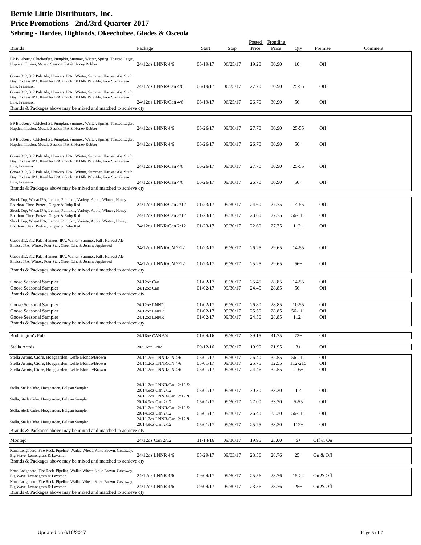|                                                                                                                                                                           |                                                 |                      |                      | Posted         | Frontline      |                   |            |         |
|---------------------------------------------------------------------------------------------------------------------------------------------------------------------------|-------------------------------------------------|----------------------|----------------------|----------------|----------------|-------------------|------------|---------|
| <b>Brands</b>                                                                                                                                                             | Package                                         | Start                | Stop                 | Price          | Price          | Oty               | Premise    | Comment |
| BP Blueberry, Oktoberfest, Pumpkin, Summer, Winter, Spring, Toasted Lager,<br>Hoptical Illusion, Mosaic Session IPA & Honey Robber                                        | 24/12oz LNNR 4/6                                | 06/19/17             | 06/25/17             | 19.20          | 30.90          | $10+$             | Off        |         |
| Goose 312, 312 Pale Ale, Honkers, IPA, Winter, Summer, Harvest Ale, Sixth<br>Day, Endless IPA, Rambler IPA, Oktob, 10 Hills Pale Ale, Four Star, Green<br>Line, Preseason | 24/12oz LNNR/Can 4/6                            | 06/19/17             | 06/25/17             | 27.70          | 30.90          | $25 - 55$         | Off        |         |
| Goose 312, 312 Pale Ale, Honkers, IPA, Winter, Summer, Harvest Ale, Sixth<br>Day, Endless IPA, Rambler IPA, Oktob, 10 Hills Pale Ale, Four Star, Green                    |                                                 |                      |                      |                |                |                   |            |         |
| Line, Preseason<br>Brands & Packages above may be mixed and matched to achieve qty                                                                                        | 24/12oz LNNR/Can 4/6                            | 06/19/17             | 06/25/17             | 26.70          | 30.90          | $56+$             | Off        |         |
|                                                                                                                                                                           |                                                 |                      |                      |                |                |                   |            |         |
| BP Blueberry, Oktoberfest, Pumpkin, Summer, Winter, Spring, Toasted Lager,<br>Hoptical Illusion, Mosaic Session IPA & Honey Robber                                        | 24/12oz LNNR 4/6                                | 06/26/17             | 09/30/17             | 27.70          | 30.90          | $25 - 55$         | Off        |         |
| BP Blueberry, Oktoberfest, Pumpkin, Summer, Winter, Spring, Toasted Lager,<br>Hoptical Illusion, Mosaic Session IPA & Honey Robber                                        | 24/12oz LNNR 4/6                                | 06/26/17             | 09/30/17             | 26.70          | 30.90          | $56+$             | Off        |         |
| Goose 312, 312 Pale Ale, Honkers, IPA, Winter, Summer, Harvest Ale, Sixth                                                                                                 |                                                 |                      |                      |                |                |                   |            |         |
| Day, Endless IPA, Rambler IPA, Oktob, 10 Hills Pale Ale, Four Star, Green                                                                                                 |                                                 |                      |                      |                |                |                   |            |         |
| Line, Preseason                                                                                                                                                           | 24/12oz LNNR/Can 4/6                            | 06/26/17             | 09/30/17             | 27.70          | 30.90          | $25 - 55$         | Off        |         |
| Goose 312, 312 Pale Ale, Honkers, IPA, Winter, Summer, Harvest Ale, Sixth<br>Day, Endless IPA, Rambler IPA, Oktob, 10 Hills Pale Ale, Four Star, Green                    |                                                 |                      |                      |                |                |                   |            |         |
| Line, Preseason                                                                                                                                                           | 24/12oz LNNR/Can 4/6                            | 06/26/17             | 09/30/17             | 26.70          | 30.90          | $56+$             | Off        |         |
| Brands & Packages above may be mixed and matched to achieve qty                                                                                                           |                                                 |                      |                      |                |                |                   |            |         |
| Shock Top, Wheat IPA, Lemon, Pumpkin, Variety, Apple, Winter, Honey                                                                                                       |                                                 |                      |                      |                |                |                   |            |         |
| Bourbon, Choc, Pretzel, Ginger & Ruby Red                                                                                                                                 | 24/12oz LNNR/Can 2/12                           | 01/23/17             | 09/30/17             | 24.60          | 27.75          | 14-55             | Off        |         |
| Shock Top, Wheat IPA, Lemon, Pumpkin, Variety, Apple, Winter, Honey<br>Bourbon, Choc, Pretzel, Ginger & Ruby Red                                                          | 24/12oz LNNR/Can 2/12                           | 01/23/17             | 09/30/17             | 23.60          | 27.75          | 56-111            | Off        |         |
| Shock Top, Wheat IPA, Lemon, Pumpkin, Variety, Apple, Winter, Honey                                                                                                       |                                                 |                      |                      |                |                |                   |            |         |
| Bourbon, Choc, Pretzel, Ginger & Ruby Red                                                                                                                                 | 24/12oz LNNR/Can 2/12                           | 01/23/17             | 09/30/17             | 22.60          | 27.75          | $112+$            | Off        |         |
| Goose 312, 312 Pale, Honkers, IPA, Winter, Summer, Fall, Harvest Ale,                                                                                                     |                                                 |                      |                      |                |                |                   |            |         |
| Endless IPA, Winter, Four Star, Green Line & Johnny Appleseed                                                                                                             | 24/12oz LNNR/CN 2/12                            | 01/23/17             | 09/30/17             | 26.25          | 29.65          | 14-55             | Off        |         |
|                                                                                                                                                                           |                                                 |                      |                      |                |                |                   |            |         |
| Goose 312, 312 Pale, Honkers, IPA, Winter, Summer, Fall, Harvest Ale,<br>Endless IPA, Winter, Four Star, Green Line & Johnny Appleseed                                    | 24/12oz LNNR/CN 2/12                            | 01/23/17             | 09/30/17             | 25.25          | 29.65          | $56+$             | Off        |         |
| Brands & Packages above may be mixed and matched to achieve qty                                                                                                           |                                                 |                      |                      |                |                |                   |            |         |
|                                                                                                                                                                           |                                                 |                      |                      |                |                |                   |            |         |
| Goose Seasonal Sampler                                                                                                                                                    | 24/12oz Can                                     | 01/02/17             | 09/30/17             | 25.45          | 28.85          | 14-55             | Off        |         |
| Goose Seasonal Sampler<br>Brands & Packages above may be mixed and matched to achieve qty                                                                                 | $24/12$ oz Can                                  | 01/02/17             | 09/30/17             | 24.45          | 28.85          | $56+$             | Off        |         |
|                                                                                                                                                                           |                                                 |                      |                      |                |                |                   |            |         |
| Goose Seasonal Sampler                                                                                                                                                    | 24/12oz LNNR                                    | 01/02/17             | 09/30/17             | 26.80          | 28.85          | $10-55$           | Off        |         |
| Goose Seasonal Sampler<br>Goose Seasonal Sampler                                                                                                                          | 24/12oz LNNR<br>24/12oz LNNR                    | 01/02/17<br>01/02/17 | 09/30/17<br>09/30/17 | 25.50<br>24.50 | 28.85<br>28.85 | 56-111<br>$112+$  | Off<br>Off |         |
| Brands & Packages above may be mixed and matched to achieve qty                                                                                                           |                                                 |                      |                      |                |                |                   |            |         |
|                                                                                                                                                                           |                                                 |                      |                      |                |                |                   |            |         |
| <b>Boddington's Pub</b>                                                                                                                                                   | 24/16oz CAN 6/4                                 | 01/04/16             | 09/30/17             | 39.15          | 41.75          | $72+$             | Off        |         |
| Stella Artois                                                                                                                                                             | 20/9.6oz LNR                                    | 09/12/16             | 09/30/17             | 19.90          | 21.95          | $3+$              | Off        |         |
|                                                                                                                                                                           |                                                 |                      |                      |                |                |                   |            |         |
| Stella Artois, Cidre, Hoegaarden, Leffe Blonde/Brown<br>Stella Artois, Cidre, Hoegaarden, Leffe Blonde/Brown                                                              | 24/11.2oz LNNR/CN 4/6<br>24/11.2oz LNNR/CN 4/6  | 05/01/17<br>05/01/17 | 09/30/17<br>09/30/17 | 26.40<br>25.75 | 32.55<br>32.55 | 56-111<br>112-215 | Off<br>Off |         |
| Stella Artois, Cidre, Hoegaarden, Leffe Blonde/Brown                                                                                                                      | 24/11.2oz LNNR/CN 4/6                           | 05/01/17             | 09/30/17             | 24.46          | 32.55          | $216+$            | Off        |         |
|                                                                                                                                                                           |                                                 |                      |                      |                |                |                   |            |         |
| Stella, Stella Cidre, Hoegaarden, Belgian Sampler                                                                                                                         | 24/11.2oz LNNR/Can 2/12 &                       |                      |                      |                |                |                   |            |         |
|                                                                                                                                                                           | 20/14.9oz Can 2/12<br>24/11.2oz LNNR/Can 2/12 & | 05/01/17             | 09/30/17             | 30.30          | 33.30          | $1 - 4$           | Off        |         |
| Stella, Stella Cidre, Hoegaarden, Belgian Sampler                                                                                                                         | 20/14.9oz Can 2/12                              | 05/01/17             | 09/30/17             | 27.00          | 33.30          | $5 - 55$          | Off        |         |
| Stella, Stella Cidre, Hoegaarden, Belgian Sampler                                                                                                                         | 24/11.2oz LNNR/Can 2/12 &<br>20/14.9oz Can 2/12 | 05/01/17             | 09/30/17             | 26.40          | 33.30          | 56-111            | Off        |         |
| Stella, Stella Cidre, Hoegaarden, Belgian Sampler                                                                                                                         | 24/11.2oz LNNR/Can 2/12 &<br>20/14.9oz Can 2/12 | 05/01/17             | 09/30/17             | 25.75          | 33.30          | $112+$            | Off        |         |
| Brands & Packages above may be mixed and matched to achieve qty                                                                                                           |                                                 |                      |                      |                |                |                   |            |         |
| Montejo                                                                                                                                                                   | 24/12oz Can 2/12                                | 11/14/16             | 09/30/17             | 19.95          | 23.00          | $5+$              | Off & On   |         |
|                                                                                                                                                                           |                                                 |                      |                      |                |                |                   |            |         |
| Kona Longboard, Fire Rock, Pipeline, Wailua Wheat, Koko Brown, Castaway,<br>Big Wave, Lemongrass & Lavaman                                                                | 24/12oz LNNR 4/6                                | 05/29/17             | 09/03/17             | 23.56          | 28.76          | $25+$             | On & Off   |         |
| Brands & Packages above may be mixed and matched to achieve qty                                                                                                           |                                                 |                      |                      |                |                |                   |            |         |
| Kona Longboard, Fire Rock, Pipeline, Wailua Wheat, Koko Brown, Castaway,                                                                                                  |                                                 |                      |                      |                |                |                   |            |         |
| Big Wave, Lemongrass & Lavaman                                                                                                                                            | 24/12oz LNNR 4/6                                | 09/04/17             | 09/30/17             | 25.56          | 28.76          | 15-24             | On & Off   |         |
| Kona Longboard, Fire Rock, Pipeline, Wailua Wheat, Koko Brown, Castaway,<br>Big Wave, Lemongrass & Lavaman                                                                | 24/12oz LNNR 4/6                                | 09/04/17             | 09/30/17             | 23.56          | 28.76          | $25+$             | On & Off   |         |
| Brands & Packages above may be mixed and matched to achieve qty                                                                                                           |                                                 |                      |                      |                |                |                   |            |         |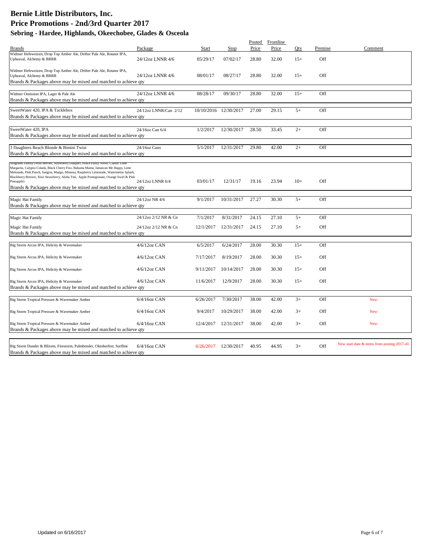|                                                                                                                                                                                                                                                                   |                       |           |                       | Posted | Frontline |       |         |                                             |
|-------------------------------------------------------------------------------------------------------------------------------------------------------------------------------------------------------------------------------------------------------------------|-----------------------|-----------|-----------------------|--------|-----------|-------|---------|---------------------------------------------|
| <b>Brands</b>                                                                                                                                                                                                                                                     | Package               | Start     | Stop                  | Price  | Price     | Oty   | Premise | Comment                                     |
| Widmer Hefeweizen, Drop Top Amber Ale, Drifter Pale Ale, Rotator IPA,<br>Upheaval, Alchemy & BRRR                                                                                                                                                                 | 24/12oz LNNR 4/6      | 05/29/17  | 07/02/17              | 28.80  | 32.00     | $15+$ | Off     |                                             |
| Widmer Hefeweizen, Drop Top Amber Ale, Drifter Pale Ale, Rotator IPA,<br>Upheaval, Alchemy & BRRR<br>Brands & Packages above may be mixed and matched to achieve qty                                                                                              | 24/12oz LNNR 4/6      | 08/01/17  | 08/27/17              | 28.80  | 32.00     | $15+$ | Off     |                                             |
|                                                                                                                                                                                                                                                                   | 24/12oz LNNR 4/6      |           |                       |        |           |       |         |                                             |
| Widmer Omission IPA, Lager & Pale Ale<br>Brands & Packages above may be mixed and matched to achieve qty                                                                                                                                                          |                       | 08/28/17  | 09/30/17              | 28.80  | 32.00     | $15+$ | Off     |                                             |
|                                                                                                                                                                                                                                                                   |                       |           |                       |        |           |       |         |                                             |
| SweetWater 420, IPA & Tacklebox<br>Brands & Packages above may be mixed and matched to achieve qty                                                                                                                                                                | 24/12oz LNNR/Can 2/12 |           | 10/10/2016 12/30/2017 | 27.00  | 29.15     | $5+$  | Off     |                                             |
|                                                                                                                                                                                                                                                                   |                       |           |                       |        |           |       |         |                                             |
| SweetWater 420, IPA<br>Brands & Packages above may be mixed and matched to achieve qty                                                                                                                                                                            | 24/16oz Can 6/4       | 1/2/2017  | 12/30/2017            | 28.50  | 33.45     | $2+$  | Off     |                                             |
|                                                                                                                                                                                                                                                                   |                       |           |                       |        |           |       |         |                                             |
| 3 Daughters Beach Blonde & Bimini Twist<br>Brands & Packages above may be mixed and matched to achieve qty                                                                                                                                                        | 24/16oz Cans          | 5/1/2017  | 12/31/2017            | 29.80  | 42.00     | $2+$  | Off     |                                             |
|                                                                                                                                                                                                                                                                   |                       |           |                       |        |           |       |         |                                             |
| Seagrams ramily (Wild Berries, Strawberry Daiquiri, Peach Fuzzy Navel, Classic Lime<br>Margarita, Calypso Colada, Black Cherry Fizz, Bahama Mama, Jamaican Me Happy, Lime<br>Melonade, Pink Punch, Sangria, Mango, Mimosa, Raspberry Lemonade, Watermelon Splash, |                       |           |                       |        |           |       |         |                                             |
| Blackberry Breezer, Kiwi Strawberry, Aloha Tini, Apple Pomegranate, Orange Swirl & Pink<br>Pineapple)<br>Brands & Packages above may be mixed and matched to achieve qty                                                                                          | 24/12oz LNNR 6/4      | 03/01/17  | 12/31/17              | 19.16  | 23.94     | $10+$ | Off     |                                             |
|                                                                                                                                                                                                                                                                   |                       |           |                       |        |           |       |         |                                             |
| <b>Magic Hat Family</b><br>Brands & Packages above may be mixed and matched to achieve qty                                                                                                                                                                        | 24/12oz NR 4/6        | 9/1/2017  | 10/31/2017            | 27.27  | 30.30     | $5+$  | Off     |                                             |
|                                                                                                                                                                                                                                                                   | 24/12oz 2/12 NR & Cn  | 7/1/2017  | 8/31/2017             | 24.15  | 27.10     | $5+$  | Off     |                                             |
| <b>Magic Hat Family</b>                                                                                                                                                                                                                                           |                       |           |                       |        |           |       |         |                                             |
| Magic Hat Family                                                                                                                                                                                                                                                  | 24/12oz 2/12 NR & Cn  | 12/1/2017 | 12/31/2017            | 24.15  | 27.10     | $5+$  | Off     |                                             |
| Brands & Packages above may be mixed and matched to achieve qty                                                                                                                                                                                                   |                       |           |                       |        |           |       |         |                                             |
| Big Storm Arcus IPA, Helicity & Wavemaker                                                                                                                                                                                                                         | $4/6/12$ oz CAN       | 6/5/2017  | 6/24/2017             | 28.00  | 30.30     | $15+$ | Off     |                                             |
| Big Storm Arcus IPA, Helicity & Wavemaker                                                                                                                                                                                                                         | 4/6/12oz CAN          | 7/17/2017 | 8/19/2017             | 28.00  | 30.30     | $15+$ | Off     |                                             |
| Big Storm Arcus IPA, Helicity & Wavemaker                                                                                                                                                                                                                         | $4/6/12$ oz CAN       | 9/11/2017 | 10/14/2017            | 28.00  | 30.30     | $15+$ | Off     |                                             |
|                                                                                                                                                                                                                                                                   |                       |           |                       |        |           |       |         |                                             |
| Big Storm Arcus IPA, Helicity & Wavemaker<br>Brands & Packages above may be mixed and matched to achieve qty                                                                                                                                                      | $4/6/12$ oz CAN       | 11/6/2017 | 12/9/2017             | 28.00  | 30.30     | $15+$ | Off     |                                             |
| Big Storm Tropical Pressure & Wavemaker Amber                                                                                                                                                                                                                     | $6/4/16$ oz CAN       | 6/26/2017 | 7/30/2017             | 38.00  | 42.00     | $3+$  | Off     | <b>New</b>                                  |
|                                                                                                                                                                                                                                                                   |                       |           |                       |        |           |       |         |                                             |
| Big Storm Tropical Pressure & Wavemaker Amber                                                                                                                                                                                                                     | $6/4/16$ oz CAN       | 9/4/2017  | 10/29/2017            | 38.00  | 42.00     | $3+$  | Off     | <b>New</b>                                  |
| Big Storm Tropical Pressure & Wavemaker Amber                                                                                                                                                                                                                     | $6/4/16$ oz CAN       |           | 12/4/2017 12/31/2017  | 38.00  | 42.00     | $3+$  | Off     | <b>New</b>                                  |
| Brands & Packages above may be mixed and matched to achieve qty                                                                                                                                                                                                   |                       |           |                       |        |           |       |         |                                             |
|                                                                                                                                                                                                                                                                   |                       |           |                       |        |           |       |         |                                             |
| Big Storm Dunder & Blixem, Firestorm, Palmbender, Oktoberfest, Surfline<br>Brands & Packages above may be mixed and matched to achieve gty                                                                                                                        | $6/4/16$ oz CAN       | 6/26/2017 | 12/30/2017            | 40.95  | 44.95     | $3+$  | Off     | New start date & items from posting 2017-41 |